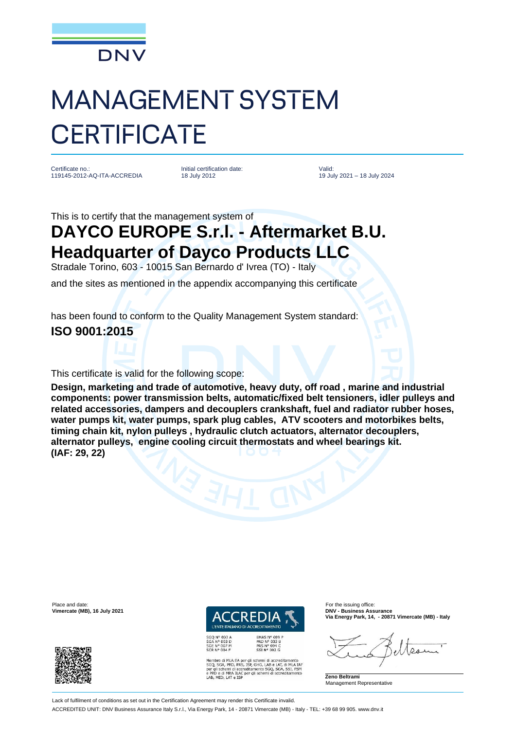

## MANAGEMENT SYSTEM **CERTIFICATE**

Certificate no.: 119145-2012-AQ-ITA-ACCREDIA Initial certification date: 18 July 2012

Valid: 19 July 2021 – 18 July 2024

This is to certify that the management system of

## **DAYCO EUROPE S.r.l. - Aftermarket B.U. Headquarter of Dayco Products LLC**

Stradale Torino, 603 - 10015 San Bernardo d' Ivrea (TO) - Italy

and the sites as mentioned in the appendix accompanying this certificate

has been found to conform to the Quality Management System standard:

## **ISO 9001:2015**

This certificate is valid for the following scope:

**Design, marketing and trade of automotive, heavy duty, off road , marine and industrial components: power transmission belts, automatic/fixed belt tensioners, idler pulleys and related accessories, dampers and decouplers crankshaft, fuel and radiator rubber hoses, water pumps kit, water pumps, spark plug cables, ATV scooters and motorbikes belts, timing chain kit, nylon pulleys , hydraulic clutch actuators, alternator decouplers, alternator pulleys, engine cooling circuit thermostats and wheel bearings kit. (IAF: 29, 22)**

Place and date: For the issuing office: **Vimercate (MB), 16 July 2021** 



**L'ENTE ITALIANO DI ACCREDITAMENTO** 

**EMAS N° 009<br>PRD N° 003 B<br>PRS N° 094 C<br>SSI N° 002 G** 

Membro di MLA EA per gli schemi di accreditamento<br>SGQ, SGA, PRD, PRS, ISP, GHG, LAB e LAT, di MLA IAF<br>per gli schemi di accreditamento SGQ, SGA, SSI, FSM<br>e PRD e di MRA ILAC<br>LAB, MED, LAT e ISP<br>LAB, MED, LAT e ISP

**Via Energy Park, 14, - 20871 Vimercate (MB) - Italy**

 $\Omega_{1}$ 

**Zeno Beltrami** Management Representative

Lack of fulfilment of conditions as set out in the Certification Agreement may render this Certificate invalid.

ACCREDITED UNIT: DNV Business Assurance Italy S.r.l., Via Energy Park, 14 - 20871 Vimercate (MB) - Italy - TEL: +39 68 99 905. www.dnv.it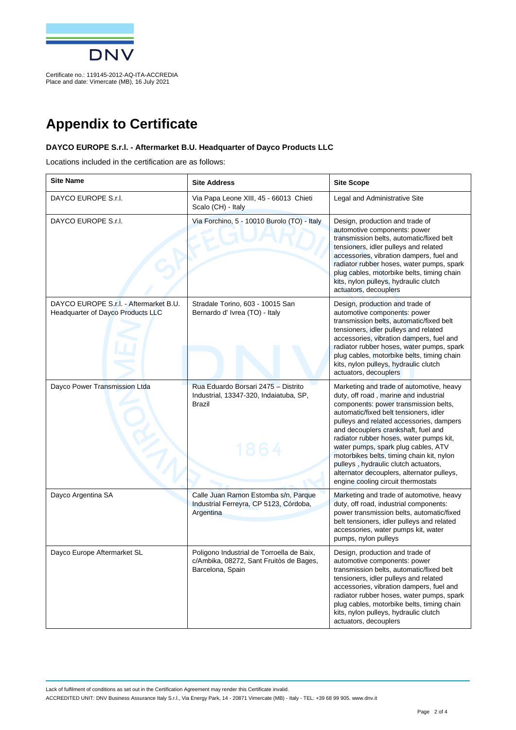

Place and date: Vimercate (MB), 16 July 2021

**Appendix to Certificate**

## **DAYCO EUROPE S.r.l. - Aftermarket B.U. Headquarter of Dayco Products LLC**

Locations included in the certification are as follows:

| <b>Site Name</b>                                                            | <b>Site Address</b>                                                                                      | <b>Site Scope</b>                                                                                                                                                                                                                                                                                                                                                                                                                                                                                                  |
|-----------------------------------------------------------------------------|----------------------------------------------------------------------------------------------------------|--------------------------------------------------------------------------------------------------------------------------------------------------------------------------------------------------------------------------------------------------------------------------------------------------------------------------------------------------------------------------------------------------------------------------------------------------------------------------------------------------------------------|
| DAYCO EUROPE S.r.I.                                                         | Via Papa Leone XIII, 45 - 66013 Chieti<br>Scalo (CH) - Italy                                             | Legal and Administrative Site                                                                                                                                                                                                                                                                                                                                                                                                                                                                                      |
| DAYCO EUROPE S.r.I.                                                         | Via Forchino, 5 - 10010 Burolo (TO) - Italy                                                              | Design, production and trade of<br>automotive components: power<br>transmission belts, automatic/fixed belt<br>tensioners, idler pulleys and related<br>accessories, vibration dampers, fuel and<br>radiator rubber hoses, water pumps, spark<br>plug cables, motorbike belts, timing chain<br>kits, nylon pulleys, hydraulic clutch<br>actuators, decouplers                                                                                                                                                      |
| DAYCO EUROPE S.r.l. - Aftermarket B.U.<br>Headquarter of Dayco Products LLC | Stradale Torino, 603 - 10015 San<br>Bernardo d' Ivrea (TO) - Italy                                       | Design, production and trade of<br>automotive components: power<br>transmission belts, automatic/fixed belt<br>tensioners, idler pulleys and related<br>accessories, vibration dampers, fuel and<br>radiator rubber hoses, water pumps, spark<br>plug cables, motorbike belts, timing chain<br>kits, nylon pulleys, hydraulic clutch<br>actuators, decouplers                                                                                                                                                      |
| Dayco Power Transmission Ltda                                               | Rua Eduardo Borsari 2475 - Distrito<br>Industrial, 13347-320, Indaiatuba, SP,<br><b>Brazil</b><br>1864   | Marketing and trade of automotive, heavy<br>duty, off road, marine and industrial<br>components: power transmission belts,<br>automatic/fixed belt tensioners, idler<br>pulleys and related accessories, dampers<br>and decouplers crankshaft, fuel and<br>radiator rubber hoses, water pumps kit,<br>water pumps, spark plug cables, ATV<br>motorbikes belts, timing chain kit, nylon<br>pulleys, hydraulic clutch actuators,<br>alternator decouplers, alternator pulleys,<br>engine cooling circuit thermostats |
| Dayco Argentina SA                                                          | Calle Juan Ramon Estomba s/n, Parque<br>Industrial Ferreyra, CP 5123, Córdoba,<br>Argentina              | Marketing and trade of automotive, heavy<br>duty, off road, industrial components:<br>power transmission belts, automatic/fixed<br>belt tensioners, idler pulleys and related<br>accessories, water pumps kit, water<br>pumps, nylon pulleys                                                                                                                                                                                                                                                                       |
| Dayco Europe Aftermarket SL                                                 | Poligono Industrial de Torroella de Baix,<br>c/Ambika, 08272, Sant Fruitòs de Bages,<br>Barcelona, Spain | Design, production and trade of<br>automotive components: power<br>transmission belts, automatic/fixed belt<br>tensioners, idler pulleys and related<br>accessories, vibration dampers, fuel and<br>radiator rubber hoses, water pumps, spark<br>plug cables, motorbike belts, timing chain<br>kits, nylon pulleys, hydraulic clutch<br>actuators, decouplers                                                                                                                                                      |

Lack of fulfilment of conditions as set out in the Certification Agreement may render this Certificate invalid. ACCREDITED UNIT: DNV Business Assurance Italy S.r.l., Via Energy Park, 14 - 20871 Vimercate (MB) - Italy - TEL: +39 68 99 905. www.dnv.it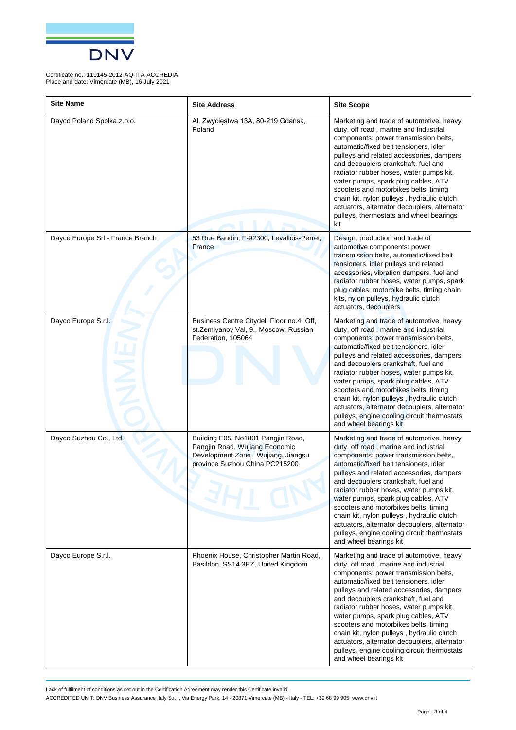

Certificate no.: 119145-2012-AQ-ITA-ACCREDIA Place and date: Vimercate (MB), 16 July 2021

| <b>Site Name</b>                 | <b>Site Address</b>                                                                                                                         | <b>Site Scope</b>                                                                                                                                                                                                                                                                                                                                                                                                                                                                                                                                         |
|----------------------------------|---------------------------------------------------------------------------------------------------------------------------------------------|-----------------------------------------------------------------------------------------------------------------------------------------------------------------------------------------------------------------------------------------------------------------------------------------------------------------------------------------------------------------------------------------------------------------------------------------------------------------------------------------------------------------------------------------------------------|
| Dayco Poland Spolka z.o.o.       | Al. Zwycięstwa 13A, 80-219 Gdańsk,<br>Poland                                                                                                | Marketing and trade of automotive, heavy<br>duty, off road, marine and industrial<br>components: power transmission belts,<br>automatic/fixed belt tensioners, idler<br>pulleys and related accessories, dampers<br>and decouplers crankshaft, fuel and<br>radiator rubber hoses, water pumps kit,<br>water pumps, spark plug cables, ATV<br>scooters and motorbikes belts, timing<br>chain kit, nylon pulleys, hydraulic clutch<br>actuators, alternator decouplers, alternator<br>pulleys, thermostats and wheel bearings<br>kit                        |
| Dayco Europe Srl - France Branch | 53 Rue Baudin, F-92300, Levallois-Perret,<br>France                                                                                         | Design, production and trade of<br>automotive components: power<br>transmission belts, automatic/fixed belt<br>tensioners, idler pulleys and related<br>accessories, vibration dampers, fuel and<br>radiator rubber hoses, water pumps, spark<br>plug cables, motorbike belts, timing chain<br>kits, nylon pulleys, hydraulic clutch<br>actuators, decouplers                                                                                                                                                                                             |
| Dayco Europe S.r.l.              | Business Centre Citydel. Floor no.4. Off,<br>st.Zemlyanoy Val, 9., Moscow, Russian<br>Federation, 105064                                    | Marketing and trade of automotive, heavy<br>duty, off road, marine and industrial<br>components: power transmission belts,<br>automatic/fixed belt tensioners, idler<br>pulleys and related accessories, dampers<br>and decouplers crankshaft, fuel and<br>radiator rubber hoses, water pumps kit,<br>water pumps, spark plug cables, ATV<br>scooters and motorbikes belts, timing<br>chain kit, nylon pulleys, hydraulic clutch<br>actuators, alternator decouplers, alternator<br>pulleys, engine cooling circuit thermostats<br>and wheel bearings kit |
| Dayco Suzhou Co., Ltd.           | Building E05, No1801 Pangjin Road,<br>Pangjin Road, Wujiang Economic<br>Development Zone Wujiang, Jiangsu<br>province Suzhou China PC215200 | Marketing and trade of automotive, heavy<br>duty, off road, marine and industrial<br>components: power transmission belts,<br>automatic/fixed belt tensioners, idler<br>pulleys and related accessories, dampers<br>and decouplers crankshaft, fuel and<br>radiator rubber hoses, water pumps kit,<br>water pumps, spark plug cables, ATV<br>scooters and motorbikes belts, timing<br>chain kit, nylon pulleys, hydraulic clutch<br>actuators, alternator decouplers, alternator<br>pulleys, engine cooling circuit thermostats<br>and wheel bearings kit |
| Dayco Europe S.r.l.              | Phoenix House, Christopher Martin Road,<br>Basildon, SS14 3EZ, United Kingdom                                                               | Marketing and trade of automotive, heavy<br>duty, off road, marine and industrial<br>components: power transmission belts,<br>automatic/fixed belt tensioners, idler<br>pulleys and related accessories, dampers<br>and decouplers crankshaft, fuel and<br>radiator rubber hoses, water pumps kit,<br>water pumps, spark plug cables, ATV<br>scooters and motorbikes belts, timing<br>chain kit, nylon pulleys, hydraulic clutch<br>actuators, alternator decouplers, alternator<br>pulleys, engine cooling circuit thermostats<br>and wheel bearings kit |

Lack of fulfilment of conditions as set out in the Certification Agreement may render this Certificate invalid.

ACCREDITED UNIT: DNV Business Assurance Italy S.r.l., Via Energy Park, 14 - 20871 Vimercate (MB) - Italy - TEL: +39 68 99 905. www.dnv.it